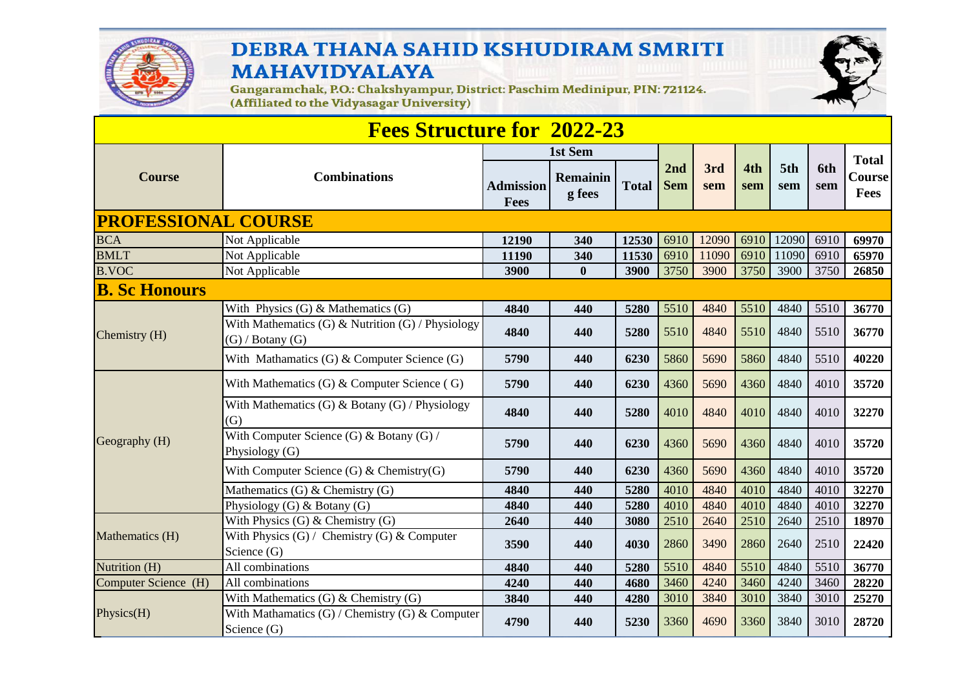

## DEBRA THANA SAHID KSHUDIRAM SMRITI **MAHAVIDYALAYA**



Gangaramchak, P.O.: Chakshyampur, District: Paschim Medinipur, PIN: 721124.<br>(Affiliated to the Vidyasagar University)

| <b>Fees Structure for 2022-23</b> |                                                                           |                          |                               |              |                   |            |            |            |            |                                |
|-----------------------------------|---------------------------------------------------------------------------|--------------------------|-------------------------------|--------------|-------------------|------------|------------|------------|------------|--------------------------------|
| <b>Course</b>                     | <b>Combinations</b>                                                       | <b>Admission</b><br>Fees | 1st Sem<br>Remainin<br>g fees | <b>Total</b> | 2nd<br><b>Sem</b> | 3rd<br>sem | 4th<br>sem | 5th<br>sem | 6th<br>sem | <b>Total</b><br>Course<br>Fees |
| <b>PROFESSIONAL COURSE</b>        |                                                                           |                          |                               |              |                   |            |            |            |            |                                |
| <b>BCA</b>                        | Not Applicable                                                            | 12190                    | 340                           | 12530        | 6910              | 12090      | 6910       | 12090      | 6910       | 69970                          |
| <b>BMLT</b>                       | Not Applicable                                                            | 11190                    | 340                           | 11530        | 6910              | 11090      | 6910       | 11090      | 6910       | 65970                          |
| <b>B.VOC</b>                      | Not Applicable                                                            | 3900                     | $\bf{0}$                      | 3900         | 3750              | 3900       | 3750       | 3900       | 3750       | 26850                          |
| <b>B. Sc Honours</b>              |                                                                           |                          |                               |              |                   |            |            |            |            |                                |
| Chemistry (H)                     | With Physics $(G)$ & Mathematics $(G)$                                    | 4840                     | 440                           | 5280         | 5510              | 4840       | 5510       | 4840       | 5510       | 36770                          |
|                                   | With Mathematics (G) & Nutrition (G) / Physiology<br>$(G)$ / Botany $(G)$ | 4840                     | 440                           | 5280         | 5510              | 4840       | 5510       | 4840       | 5510       | 36770                          |
|                                   | With Mathamatics $(G)$ & Computer Science $(G)$                           | 5790                     | 440                           | 6230         | 5860              | 5690       | 5860       | 4840       | 5510       | 40220                          |
| Geography (H)                     | With Mathematics $(G)$ & Computer Science $(G)$                           | 5790                     | 440                           | 6230         | 4360              | 5690       | 4360       | 4840       | 4010       | 35720                          |
|                                   | With Mathematics (G) & Botany (G) / Physiology<br>(G)                     | 4840                     | 440                           | 5280         | 4010              | 4840       | 4010       | 4840       | 4010       | 32270                          |
|                                   | With Computer Science (G) & Botany (G) /<br>Physiology (G)                | 5790                     | 440                           | 6230         | 4360              | 5690       | 4360       | 4840       | 4010       | 35720                          |
|                                   | With Computer Science $(G)$ & Chemistry $(G)$                             | 5790                     | 440                           | 6230         | 4360              | 5690       | 4360       | 4840       | 4010       | 35720                          |
|                                   | Mathematics $(G)$ & Chemistry $(G)$                                       | 4840                     | 440                           | 5280         | 4010              | 4840       | 4010       | 4840       | 4010       | 32270                          |
|                                   | Physiology $(G)$ & Botany $(G)$                                           | 4840                     | 440                           | 5280         | 4010              | 4840       | 4010       | 4840       | 4010       | 32270                          |
| Mathematics (H)                   | With Physics $(G)$ & Chemistry $(G)$                                      | 2640                     | 440                           | 3080         | 2510              | 2640       | 2510       | 2640       | 2510       | 18970                          |
|                                   | With Physics $(G)$ / Chemistry $(G)$ & Computer<br>Science (G)            | 3590                     | 440                           | 4030         | 2860              | 3490       | 2860       | 2640       | 2510       | 22420                          |
| Nutrition (H)                     | All combinations                                                          | 4840                     | 440                           | 5280         | 5510              | 4840       | 5510       | 4840       | 5510       | 36770                          |
| Computer Science (H)              | All combinations                                                          | 4240                     | 440                           | 4680         | 3460              | 4240       | 3460       | 4240       | 3460       | 28220                          |
| Physics(H)                        | With Mathematics $(G)$ & Chemistry $(G)$                                  | 3840                     | 440                           | 4280         | 3010              | 3840       | 3010       | 3840       | 3010       | 25270                          |
|                                   | With Mathamatics $(G)$ / Chemistry $(G)$ & Computer<br>Science (G)        | 4790                     | 440                           | 5230         | 3360              | 4690       | 3360       | 3840       | 3010       | 28720                          |